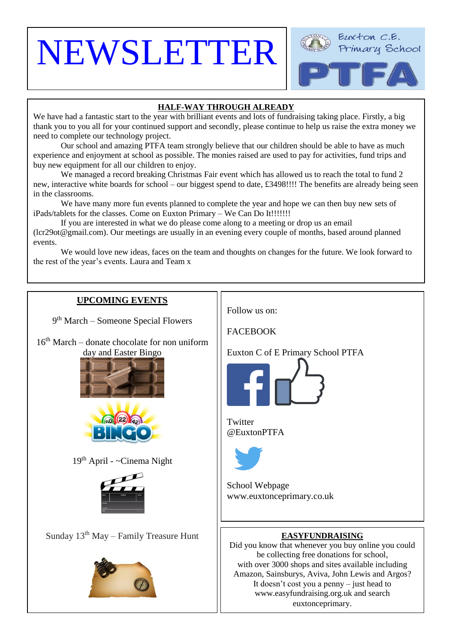# NEWSLETTER

 $\overline{\phantom{a}}$ 



# **HALF-WAY THROUGH ALREADY**

We have had a fantastic start to the year with brilliant events and lots of fundraising taking place. Firstly, a big thank you to you all for your continued support and secondly, please continue to help us raise the extra money we need to complete our technology project.

Our school and amazing PTFA team strongly believe that our children should be able to have as much experience and enjoyment at school as possible. The monies raised are used to pay for activities, fund trips and buy new equipment for all our children to enjoy.

We managed a record breaking Christmas Fair event which has allowed us to reach the total to fund 2 new, interactive white boards for school – our biggest spend to date, £3498!!!! The benefits are already being seen in the classrooms.

We have many more fun events planned to complete the year and hope we can then buy new sets of iPads/tablets for the classes. Come on Euxton Primary – We Can Do It!!!!!!!

If you are interested in what we do please come along to a meeting or drop us an email (lcr29ot@gmail.com). Our meetings are usually in an evening every couple of months, based around planned events.

We would love new ideas, faces on the team and thoughts on changes for the future. We look forward to the rest of the year's events. Laura and Team x

# **UPCOMING EVENTS** Follow us on: 9<sup>th</sup> March – Someone Special Flowers **FACEBOOK**  $16<sup>th</sup> March – donate chocolate for non uniform$ Euxton C of E Primary School PTFA day and Easter Bingo  $\overline{\phantom{a}}$  $\overline{a}$ **Co** (22) **Twitter** @EuxtonPTFA 19th April - ~Cinema Night School Webpage www.euxtonceprimary.co.uk [Sunday](https://www.google.co.uk/url?sa=i&rct=j&q=&esrc=s&source=images&cd=&cad=rja&uact=8&ved=0ahUKEwicm46phLDXAhVMGsAKHdnbBF4QjRwIBw&url=https%3A%2F%2Fwww.pinterest.com%2Fpin%2F515662226064110903%2F&psig=AOvVaw3zExgW9gnEsS7l4QX0i4Z-&ust=1510266775943551)  $13<sup>th</sup>$  May – Family Treasure Hunt **EASYFUNDRAISING** Did you know that whenever you buy online you could be collecting free donations for school, with over 3000 shops and sites available including Amazon, Sainsburys, Aviva, John Lewis and Argos? It doesn't cost you a penny – just head to [www.easyfundraising.org.uk](http://www.easyfundraising.org.uk/) and search euxtonceprimary.